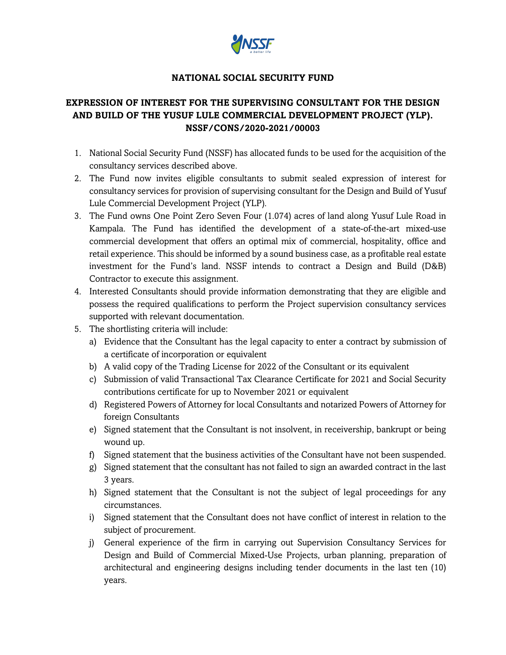

### **NATIONAL SOCIAL SECURITY FUND**

# **EXPRESSION OF INTEREST FOR THE SUPERVISING CONSULTANT FOR THE DESIGN AND BUILD OF THE YUSUF LULE COMMERCIAL DEVELOPMENT PROJECT (YLP). NSSF/CONS/2020-2021/00003**

- 1. National Social Security Fund (NSSF) has allocated funds to be used for the acquisition of the consultancy services described above.
- 2. The Fund now invites eligible consultants to submit sealed expression of interest for consultancy services for provision of supervising consultant for the Design and Build of Yusuf Lule Commercial Development Project (YLP).
- 3. The Fund owns One Point Zero Seven Four (1.074) acres of land along Yusuf Lule Road in Kampala. The Fund has identified the development of a state-of-the-art mixed-use commercial development that offers an optimal mix of commercial, hospitality, office and retail experience. This should be informed by a sound business case, as a profitable real estate investment for the Fund's land. NSSF intends to contract a Design and Build (D&B) Contractor to execute this assignment.
- 4. Interested Consultants should provide information demonstrating that they are eligible and possess the required qualifications to perform the Project supervision consultancy services supported with relevant documentation.
- 5. The shortlisting criteria will include:
	- a) Evidence that the Consultant has the legal capacity to enter a contract by submission of a certificate of incorporation or equivalent
	- b) A valid copy of the Trading License for 2022 of the Consultant or its equivalent
	- c) Submission of valid Transactional Tax Clearance Certificate for 2021 and Social Security contributions certificate for up to November 2021 or equivalent
	- d) Registered Powers of Attorney for local Consultants and notarized Powers of Attorney for foreign Consultants
	- e) Signed statement that the Consultant is not insolvent, in receivership, bankrupt or being wound up.
	- f) Signed statement that the business activities of the Consultant have not been suspended.
	- g) Signed statement that the consultant has not failed to sign an awarded contract in the last 3 years.
	- h) Signed statement that the Consultant is not the subject of legal proceedings for any circumstances.
	- i) Signed statement that the Consultant does not have conflict of interest in relation to the subject of procurement.
	- j) General experience of the firm in carrying out Supervision Consultancy Services for Design and Build of Commercial Mixed-Use Projects, urban planning, preparation of architectural and engineering designs including tender documents in the last ten (10) years.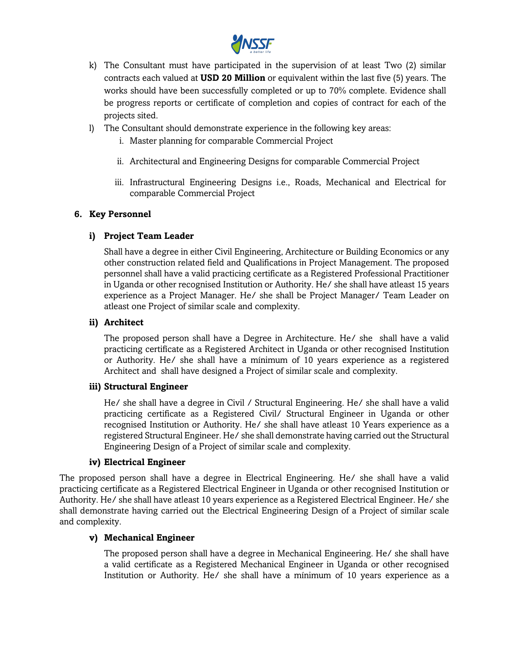

- k) The Consultant must have participated in the supervision of at least Two (2) similar contracts each valued at **USD 20 Million** or equivalent within the last five (5) years. The works should have been successfully completed or up to 70% complete. Evidence shall be progress reports or certificate of completion and copies of contract for each of the projects sited.
- l) The Consultant should demonstrate experience in the following key areas:
	- i. Master planning for comparable Commercial Project
	- ii. Architectural and Engineering Designs for comparable Commercial Project
	- iii. Infrastructural Engineering Designs i.e., Roads, Mechanical and Electrical for comparable Commercial Project

### **6. Key Personnel**

### **i) Project Team Leader**

Shall have a degree in either Civil Engineering, Architecture or Building Economics or any other construction related field and Qualifications in Project Management. The proposed personnel shall have a valid practicing certificate as a Registered Professional Practitioner in Uganda or other recognised Institution or Authority. He/ she shall have atleast 15 years experience as a Project Manager. He/ she shall be Project Manager/ Team Leader on atleast one Project of similar scale and complexity.

### **ii) Architect**

The proposed person shall have a Degree in Architecture. He/ she shall have a valid practicing certifícate as a Registered Architect in Uganda or other recognised Institution or Authority. He/ she shall have a mínimum of 10 years experience as a registered Architect and shall have designed a Project of similar scale and complexity.

### **iii) Structural Engineer**

He/ she shall have a degree in Civil / Structural Engineering. He/ she shall have a valid practicing certificate as a Registered Civil/ Structural Engineer in Uganda or other recognised Institution or Authority. He/ she shall have atleast 10 Years experience as a registered Structural Engineer. He/ she shall demonstrate having carried out the Structural Engineering Design of a Project of similar scale and complexity.

### **iv) Electrical Engineer**

The proposed person shall have a degree in Electrical Engineering. He/ she shall have a valid practicing certificate as a Registered Electrical Engineer in Uganda or other recognised Institution or Authority. He/ she shall have atleast 10 years experience as a Registered Electrical Engineer. He/ she shall demonstrate having carried out the Electrical Engineering Design of a Project of similar scale and complexity.

### **v) Mechanical Engineer**

The proposed person shall have a degree in Mechanical Engineering. He/ she shall have a valid certificate as a Registered Mechanical Engineer in Uganda or other recognised Institution or Authority. He/ she shall have a mínimum of 10 years experience as a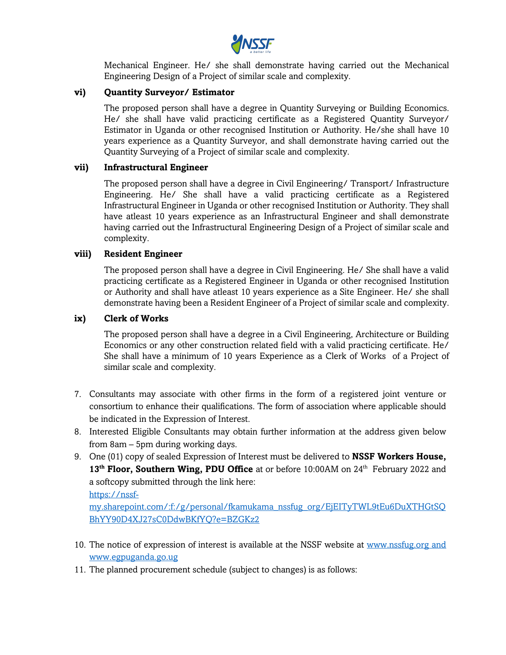

Mechanical Engineer. He/ she shall demonstrate having carried out the Mechanical Engineering Design of a Project of similar scale and complexity.

#### **vi) Quantity Surveyor/ Estimator**

The proposed person shall have a degree in Quantity Surveying or Building Economics. He/ she shall have valid practicing certificate as a Registered Quantity Surveyor/ Estimator in Uganda or other recognised Institution or Authority. He/she shall have 10 years experience as a Quantity Surveyor, and shall demonstrate having carried out the Quantity Surveying of a Project of similar scale and complexity.

#### **vii) Infrastructural Engineer**

The proposed person shall have a degree in Civil Engineering/ Transport/ Infrastructure Engineering. He/ She shall have a valid practicing certificate as a Registered Infrastructural Engineer in Uganda or other recognised Institution or Authority. They shall have atleast 10 years experience as an Infrastructural Engineer and shall demonstrate having carried out the Infrastructural Engineering Design of a Project of similar scale and complexity.

#### **viii) Resident Engineer**

The proposed person shall have a degree in Civil Engineering. He/ She shall have a valid practicing certificate as a Registered Engineer in Uganda or other recognised Institution or Authority and shall have atleast 10 years experience as a Site Engineer. He/ she shall demonstrate having been a Resident Engineer of a Project of similar scale and complexity.

#### **ix) Clerk of Works**

The proposed person shall have a degree in a Civil Engineering, Architecture or Building Economics or any other construction related field with a valid practicing certificate. He/ She shall have a mínimum of 10 years Experience as a Clerk of Works of a Project of similar scale and complexity.

- 7. Consultants may associate with other firms in the form of a registered joint venture or consortium to enhance their qualifications. The form of association where applicable should be indicated in the Expression of Interest.
- 8. Interested Eligible Consultants may obtain further information at the address given below from 8am – 5pm during working days.
- 9. One (01) copy of sealed Expression of Interest must be delivered to **NSSF Workers House,**  13<sup>th</sup> **Floor, Southern Wing, PDU Office** at or before 10:00AM on 24<sup>th</sup> February 2022 and a softcopy submitted through the link here:

https://nssf-

my.sharepoint.com/:f:/g/personal/fkamukama\_nssfug\_org/EjEITyTWL9tEu6DuXTHGtSQ BhYY90D4XJ27sC0DdwBKfYQ?e=BZGKz2

- 10. The notice of expression of interest is available at the NSSF website at www.nssfug.org and www.egpuganda.go.ug
- 11. The planned procurement schedule (subject to changes) is as follows: